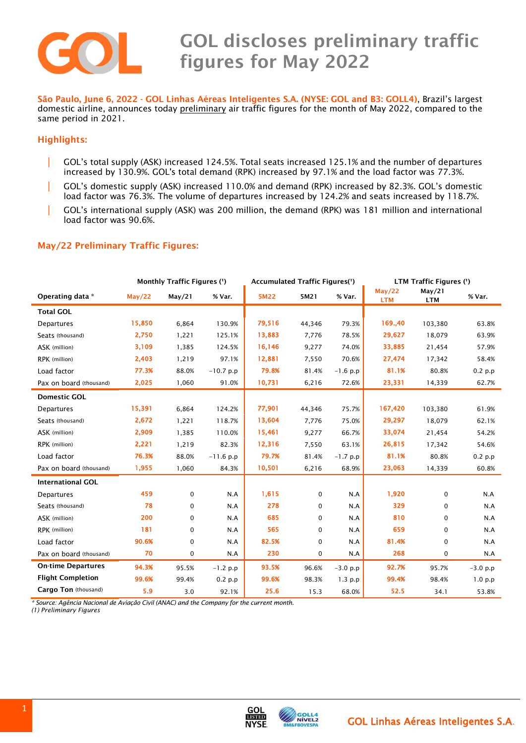

# GOL discloses preliminary traffic figures for May 2022

 São Paulo, June 6, <sup>2022</sup> - GOL Linhas Aéreas Inteligentes S.A. (NYSE: GOL and B3: GOLL4), Brazil's largest domestic airline, announces today preliminary air traffic figures for the month of May 2022, compared to the same period in 2021.

### Highlights:

- | GOL's total supply (ASK) increased 124.5%. Total seats increased 125.1% and the number of departures increased by 130.9%. GOL's total demand (RPK) increased by 97.1% and the load factor was 77.3%.
- | GOL's domestic supply (ASK) increased 110.0% and demand (RPK) increased by 82.3%. GOL's domestic load factor was 76.3%. The volume of departures increased by 124.2% and seats increased by 118.7%.
- | GOL's international supply (ASK) was 200 million, the demand (RPK) was 181 million and international load factor was 90.6%.

#### May/22 Preliminary Traffic Figures:

|                           | Monthly Traffic Figures (1) |             |             | Accumulated Traffic Figures(1) |             |            | LTM Traffic Figures (') |                      |            |
|---------------------------|-----------------------------|-------------|-------------|--------------------------------|-------------|------------|-------------------------|----------------------|------------|
| Operating data *          | May/22                      | May/21      | % Var.      | 5M22                           | 5M21        | % Var.     | May/22<br><b>LTM</b>    | May/21<br><b>LTM</b> | % Var.     |
| <b>Total GOL</b>          |                             |             |             |                                |             |            |                         |                      |            |
| Departures                | 15,850                      | 6,864       | 130.9%      | 79,516                         | 44,346      | 79.3%      | 169.,40                 | 103,380              | 63.8%      |
| Seats (thousand)          | 2,750                       | 1,221       | 125.1%      | 13,883                         | 7,776       | 78.5%      | 29,627                  | 18,079               | 63.9%      |
| ASK (million)             | 3,109                       | 1,385       | 124.5%      | 16,146                         | 9,277       | 74.0%      | 33,885                  | 21,454               | 57.9%      |
| RPK (million)             | 2,403                       | 1,219       | 97.1%       | 12,881                         | 7,550       | 70.6%      | 27,474                  | 17,342               | 58.4%      |
| Load factor               | 77.3%                       | 88.0%       | $-10.7$ p.p | 79.8%                          | 81.4%       | $-1.6 p.p$ | 81.1%                   | 80.8%                | $0.2$ p.p  |
| Pax on board (thousand)   | 2,025                       | 1,060       | 91.0%       | 10,731                         | 6,216       | 72.6%      | 23,331                  | 14,339               | 62.7%      |
| <b>Domestic GOL</b>       |                             |             |             |                                |             |            |                         |                      |            |
| Departures                | 15,391                      | 6,864       | 124.2%      | 77,901                         | 44,346      | 75.7%      | 167,420                 | 103,380              | 61.9%      |
| Seats (thousand)          | 2,672                       | 1,221       | 118.7%      | 13,604                         | 7,776       | 75.0%      | 29,297                  | 18,079               | 62.1%      |
| ASK (million)             | 2,909                       | 1,385       | 110.0%      | 15,461                         | 9,277       | 66.7%      | 33,074                  | 21,454               | 54.2%      |
| RPK (million)             | 2,221                       | 1,219       | 82.3%       | 12,316                         | 7,550       | 63.1%      | 26,815                  | 17,342               | 54.6%      |
| Load factor               | 76.3%                       | 88.0%       | $-11.6 p.p$ | 79.7%                          | 81.4%       | $-1.7 p.p$ | 81.1%                   | 80.8%                | 0.2 p.p    |
| Pax on board (thousand)   | 1,955                       | 1,060       | 84.3%       | 10,501                         | 6,216       | 68.9%      | 23,063                  | 14,339               | 60.8%      |
| <b>International GOL</b>  |                             |             |             |                                |             |            |                         |                      |            |
| Departures                | 459                         | $\mathbf 0$ | N.A         | 1,615                          | $\mathbf 0$ | N.A        | 1,920                   | $\mathbf 0$          | N.A        |
| Seats (thousand)          | 78                          | $\mathbf 0$ | N.A         | 278                            | 0           | N.A        | 329                     | 0                    | N.A        |
| ASK (million)             | 200                         | $\mathbf 0$ | N.A         | 685                            | 0           | N.A        | 810                     | 0                    | N.A        |
| RPK (million)             | 181                         | $\mathbf 0$ | N.A         | 565                            | 0           | N.A        | 659                     | 0                    | N.A        |
| Load factor               | 90.6%                       | $\mathbf 0$ | N.A         | 82.5%                          | 0           | N.A        | 81.4%                   | $\mathbf 0$          | N.A        |
| Pax on board (thousand)   | 70                          | $\mathbf 0$ | N.A         | 230                            | 0           | N.A        | 268                     | 0                    | N.A        |
| <b>On-time Departures</b> | 94.3%                       | 95.5%       | $-1.2 p.p$  | 93.5%                          | 96.6%       | $-3.0 p.p$ | 92.7%                   | 95.7%                | $-3.0 p.p$ |
| <b>Flight Completion</b>  | 99.6%                       | 99.4%       | 0.2 p.p     | 99.6%                          | 98.3%       | $1.3$ p.p  | 99.4%                   | 98.4%                | 1.0 p.p    |
| Cargo Ton (thousand)      | 5.9                         | 3.0         | 92.1%       | 25.6                           | 15.3        | 68.0%      | 52.5                    | 34.1                 | 53.8%      |

*\* Source: Agência Nacional de Aviação Civil (ANAC) and the Company for the current month.*

*(1) Preliminary Figures*